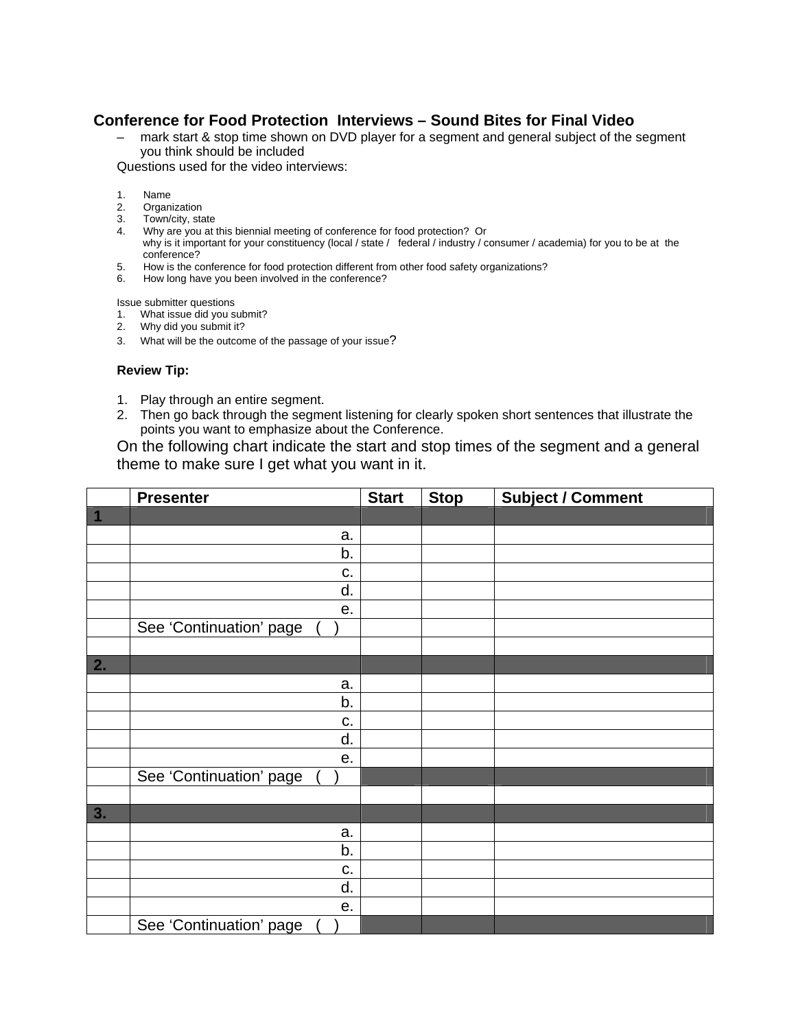## **Conference for Food Protection Interviews – Sound Bites for Final Video**

– mark start & stop time shown on DVD player for a segment and general subject of the segment you think should be included

Questions used for the video interviews:

- 1. Name
- 2. Organization<br>3. Town/city ste
- 3. Town/city, state
- 4. Why are you at this biennial meeting of conference for food protection? Or why is it important for your constituency (local / state / federal / industry / consumer / academia) for you to be at the conference?
- 5. How is the conference for food protection different from other food safety organizations?
- 6. How long have you been involved in the conference?

Issue submitter questions

- 1. What issue did you submit?
- 2. Why did you submit it?
- 3. What will be the outcome of the passage of your issue?

## **Review Tip:**

- 1. Play through an entire segment.
- 2. Then go back through the segment listening for clearly spoken short sentences that illustrate the points you want to emphasize about the Conference.

On the following chart indicate the start and stop times of the segment and a general theme to make sure I get what you want in it.

|                  | <b>Presenter</b>        | <b>Start</b> | <b>Stop</b> | <b>Subject / Comment</b> |
|------------------|-------------------------|--------------|-------------|--------------------------|
| $\overline{1}$   |                         |              |             |                          |
|                  | a.                      |              |             |                          |
|                  | b.                      |              |             |                          |
|                  | c.                      |              |             |                          |
|                  | d.                      |              |             |                          |
|                  | е.                      |              |             |                          |
|                  | See 'Continuation' page |              |             |                          |
|                  |                         |              |             |                          |
| $\overline{2}$ . |                         |              |             |                          |
|                  | a.                      |              |             |                          |
|                  | b.                      |              |             |                          |
|                  | C.                      |              |             |                          |
|                  | d.                      |              |             |                          |
|                  | е.                      |              |             |                          |
|                  | See 'Continuation' page |              |             |                          |
|                  |                         |              |             |                          |
| 3.               |                         |              |             |                          |
|                  | a.                      |              |             |                          |
|                  | b.                      |              |             |                          |
|                  | C.                      |              |             |                          |
|                  | d.                      |              |             |                          |
|                  | е.                      |              |             |                          |
|                  | See 'Continuation' page |              |             |                          |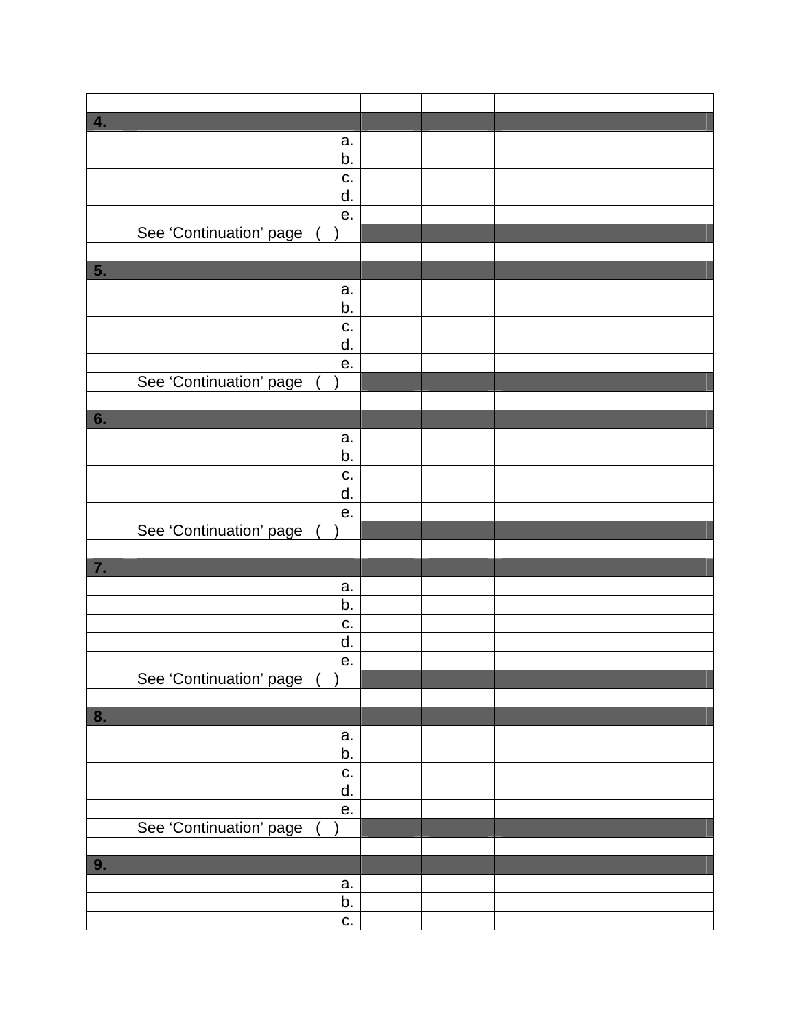| 4. |                         |  |  |
|----|-------------------------|--|--|
|    | a.                      |  |  |
|    | b.                      |  |  |
|    | c.                      |  |  |
|    |                         |  |  |
|    | d.                      |  |  |
|    | е.                      |  |  |
|    | See 'Continuation' page |  |  |
|    |                         |  |  |
| 5. |                         |  |  |
|    |                         |  |  |
|    | a.                      |  |  |
|    | b.                      |  |  |
|    | c.                      |  |  |
|    |                         |  |  |
|    | d.                      |  |  |
|    | е.                      |  |  |
|    | See 'Continuation' page |  |  |
|    |                         |  |  |
|    |                         |  |  |
| 6. |                         |  |  |
|    | a.                      |  |  |
|    | b.                      |  |  |
|    | c.                      |  |  |
|    |                         |  |  |
|    | d.                      |  |  |
|    | е.                      |  |  |
|    | See 'Continuation' page |  |  |
|    |                         |  |  |
| 7. |                         |  |  |
|    |                         |  |  |
|    | a.                      |  |  |
|    | b.                      |  |  |
|    | c.                      |  |  |
|    |                         |  |  |
|    | d.                      |  |  |
|    | е.                      |  |  |
|    | See 'Continuation' page |  |  |
|    |                         |  |  |
|    |                         |  |  |
| 8. |                         |  |  |
|    | a.                      |  |  |
|    | b.                      |  |  |
|    | С.                      |  |  |
|    |                         |  |  |
|    | d.                      |  |  |
|    | e.                      |  |  |
|    | See 'Continuation' page |  |  |
|    |                         |  |  |
|    |                         |  |  |
| 9. |                         |  |  |
|    | a.                      |  |  |
|    | b.                      |  |  |
|    |                         |  |  |
|    | C.                      |  |  |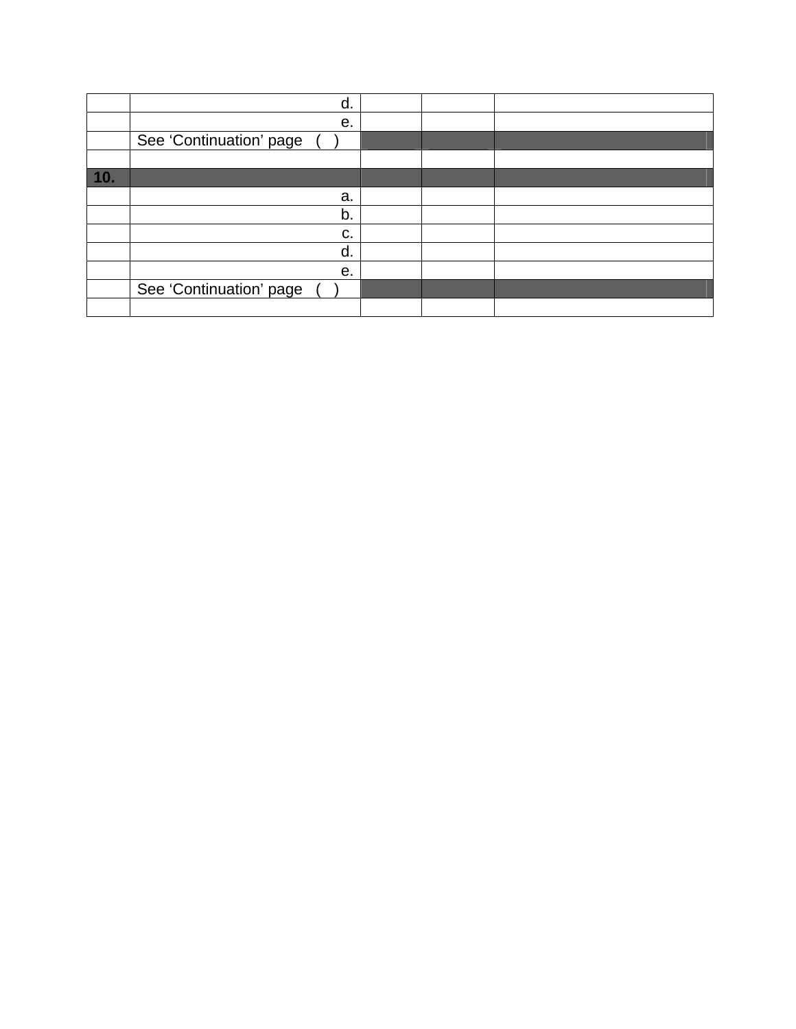|     | d.                      |  |  |
|-----|-------------------------|--|--|
|     | е.                      |  |  |
|     | See 'Continuation' page |  |  |
|     |                         |  |  |
| 10. |                         |  |  |
|     | a.                      |  |  |
|     | b.                      |  |  |
|     | c.                      |  |  |
|     | d.                      |  |  |
|     | е.                      |  |  |
|     | See 'Continuation' page |  |  |
|     |                         |  |  |